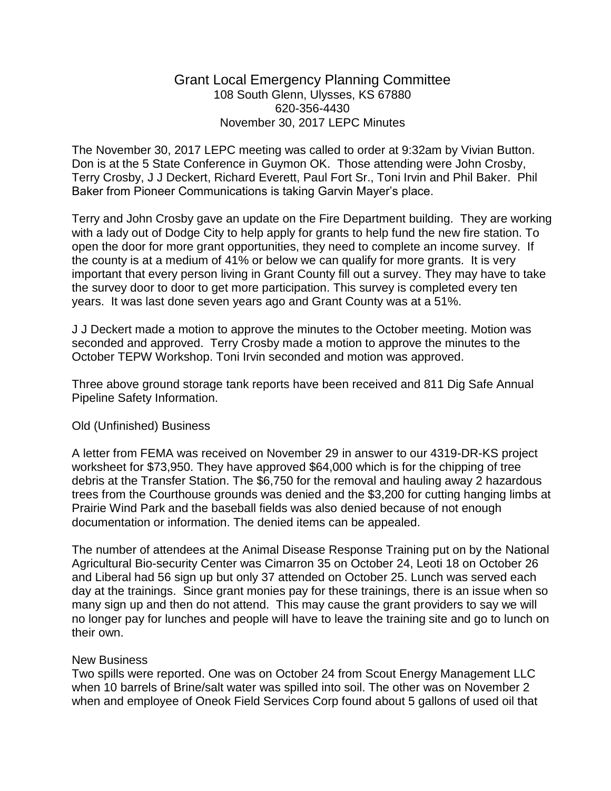## Grant Local Emergency Planning Committee 108 South Glenn, Ulysses, KS 67880 620-356-4430 November 30, 2017 LEPC Minutes

The November 30, 2017 LEPC meeting was called to order at 9:32am by Vivian Button. Don is at the 5 State Conference in Guymon OK. Those attending were John Crosby, Terry Crosby, J J Deckert, Richard Everett, Paul Fort Sr., Toni Irvin and Phil Baker. Phil Baker from Pioneer Communications is taking Garvin Mayer's place.

Terry and John Crosby gave an update on the Fire Department building. They are working with a lady out of Dodge City to help apply for grants to help fund the new fire station. To open the door for more grant opportunities, they need to complete an income survey. If the county is at a medium of 41% or below we can qualify for more grants. It is very important that every person living in Grant County fill out a survey. They may have to take the survey door to door to get more participation. This survey is completed every ten years. It was last done seven years ago and Grant County was at a 51%.

J J Deckert made a motion to approve the minutes to the October meeting. Motion was seconded and approved. Terry Crosby made a motion to approve the minutes to the October TEPW Workshop. Toni Irvin seconded and motion was approved.

Three above ground storage tank reports have been received and 811 Dig Safe Annual Pipeline Safety Information.

## Old (Unfinished) Business

A letter from FEMA was received on November 29 in answer to our 4319-DR-KS project worksheet for \$73,950. They have approved \$64,000 which is for the chipping of tree debris at the Transfer Station. The \$6,750 for the removal and hauling away 2 hazardous trees from the Courthouse grounds was denied and the \$3,200 for cutting hanging limbs at Prairie Wind Park and the baseball fields was also denied because of not enough documentation or information. The denied items can be appealed.

The number of attendees at the Animal Disease Response Training put on by the National Agricultural Bio-security Center was Cimarron 35 on October 24, Leoti 18 on October 26 and Liberal had 56 sign up but only 37 attended on October 25. Lunch was served each day at the trainings. Since grant monies pay for these trainings, there is an issue when so many sign up and then do not attend. This may cause the grant providers to say we will no longer pay for lunches and people will have to leave the training site and go to lunch on their own.

## New Business

Two spills were reported. One was on October 24 from Scout Energy Management LLC when 10 barrels of Brine/salt water was spilled into soil. The other was on November 2 when and employee of Oneok Field Services Corp found about 5 gallons of used oil that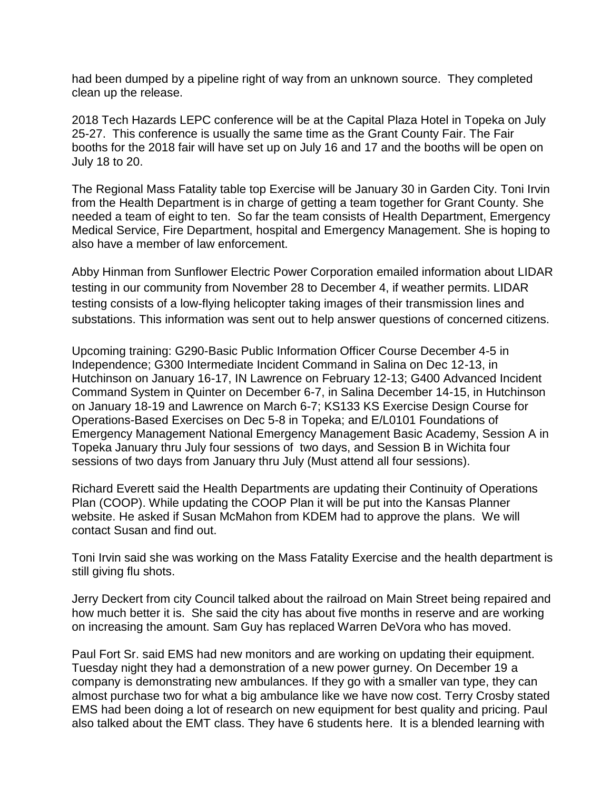had been dumped by a pipeline right of way from an unknown source. They completed clean up the release.

2018 Tech Hazards LEPC conference will be at the Capital Plaza Hotel in Topeka on July 25-27. This conference is usually the same time as the Grant County Fair. The Fair booths for the 2018 fair will have set up on July 16 and 17 and the booths will be open on July 18 to 20.

The Regional Mass Fatality table top Exercise will be January 30 in Garden City. Toni Irvin from the Health Department is in charge of getting a team together for Grant County. She needed a team of eight to ten. So far the team consists of Health Department, Emergency Medical Service, Fire Department, hospital and Emergency Management. She is hoping to also have a member of law enforcement.

Abby Hinman from Sunflower Electric Power Corporation emailed information about LIDAR testing in our community from November 28 to December 4, if weather permits. LIDAR testing consists of a low-flying helicopter taking images of their transmission lines and substations. This information was sent out to help answer questions of concerned citizens.

Upcoming training: G290-Basic Public Information Officer Course December 4-5 in Independence; G300 Intermediate Incident Command in Salina on Dec 12-13, in Hutchinson on January 16-17, IN Lawrence on February 12-13; G400 Advanced Incident Command System in Quinter on December 6-7, in Salina December 14-15, in Hutchinson on January 18-19 and Lawrence on March 6-7; KS133 KS Exercise Design Course for Operations-Based Exercises on Dec 5-8 in Topeka; and E/L0101 Foundations of Emergency Management National Emergency Management Basic Academy, Session A in Topeka January thru July four sessions of two days, and Session B in Wichita four sessions of two days from January thru July (Must attend all four sessions).

Richard Everett said the Health Departments are updating their Continuity of Operations Plan (COOP). While updating the COOP Plan it will be put into the Kansas Planner website. He asked if Susan McMahon from KDEM had to approve the plans. We will contact Susan and find out.

Toni Irvin said she was working on the Mass Fatality Exercise and the health department is still giving flu shots.

Jerry Deckert from city Council talked about the railroad on Main Street being repaired and how much better it is. She said the city has about five months in reserve and are working on increasing the amount. Sam Guy has replaced Warren DeVora who has moved.

Paul Fort Sr. said EMS had new monitors and are working on updating their equipment. Tuesday night they had a demonstration of a new power gurney. On December 19 a company is demonstrating new ambulances. If they go with a smaller van type, they can almost purchase two for what a big ambulance like we have now cost. Terry Crosby stated EMS had been doing a lot of research on new equipment for best quality and pricing. Paul also talked about the EMT class. They have 6 students here. It is a blended learning with